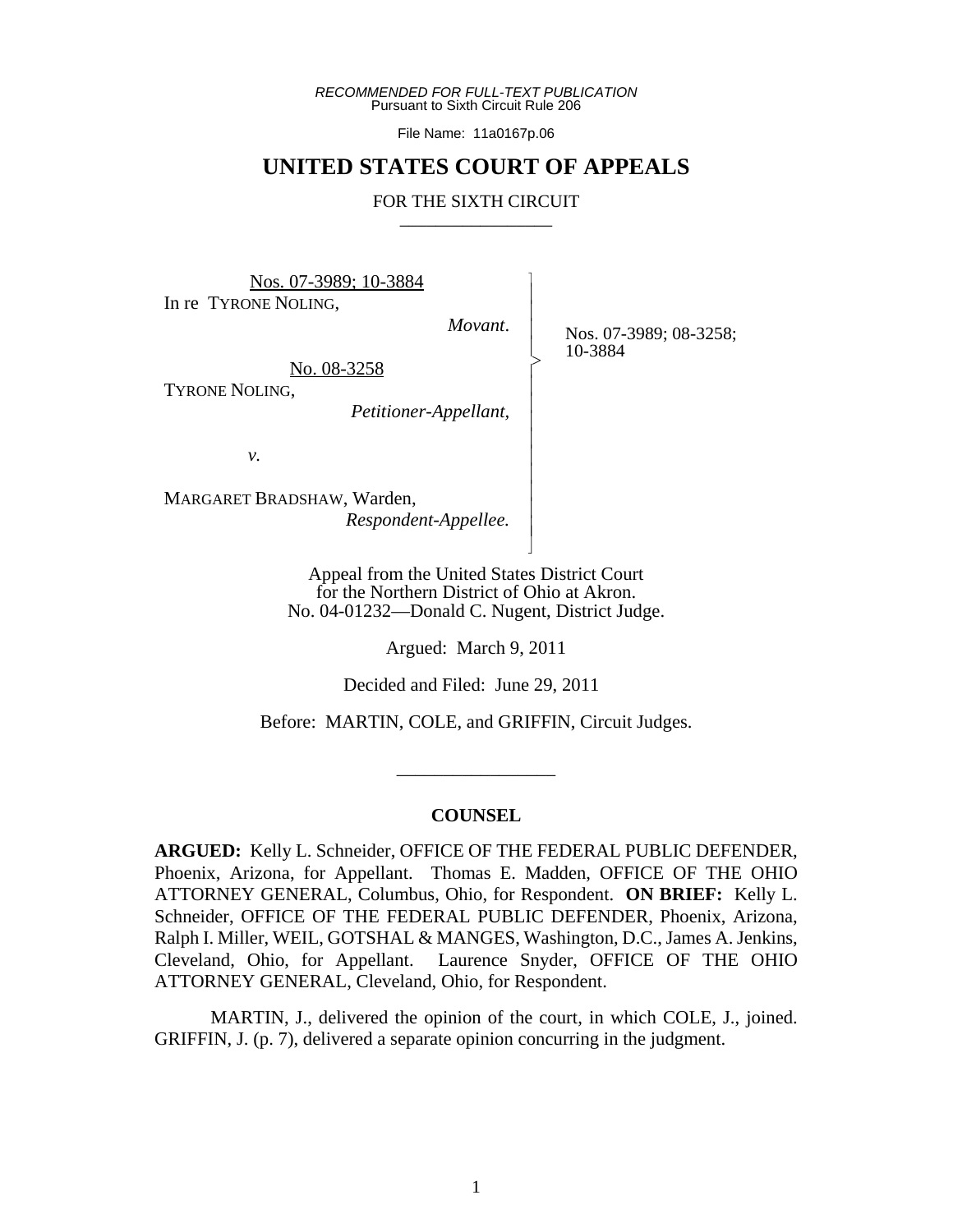*RECOMMENDED FOR FULL-TEXT PUBLICATION* Pursuant to Sixth Circuit Rule 206

File Name: 11a0167p.06

# **UNITED STATES COURT OF APPEALS**

#### FOR THE SIXTH CIRCUIT

Nos. 07-3989; 10-3884 In re TYRONE NOLING,

*Movant*.

 $\overline{\phantom{a}}$ - - - > , - - - - - - - - - N

Nos. 07-3989; 08-3258; 10-3884

No. 08-3258

TYRONE NOLING,

*Petitioner-Appellant,*

*v.*

MARGARET BRADSHAW, Warden, *Respondent-Appellee.*

> Appeal from the United States District Court for the Northern District of Ohio at Akron. No. 04-01232—Donald C. Nugent, District Judge.

> > Argued: March 9, 2011

Decided and Filed: June 29, 2011

Before: MARTIN, COLE, and GRIFFIN, Circuit Judges.

#### **COUNSEL**

\_\_\_\_\_\_\_\_\_\_\_\_\_\_\_\_\_

**ARGUED:** Kelly L. Schneider, OFFICE OF THE FEDERAL PUBLIC DEFENDER, Phoenix, Arizona, for Appellant. Thomas E. Madden, OFFICE OF THE OHIO ATTORNEY GENERAL, Columbus, Ohio, for Respondent. **ON BRIEF:** Kelly L. Schneider, OFFICE OF THE FEDERAL PUBLIC DEFENDER, Phoenix, Arizona, Ralph I. Miller, WEIL, GOTSHAL & MANGES, Washington, D.C., James A. Jenkins, Cleveland, Ohio, for Appellant. Laurence Snyder, OFFICE OF THE OHIO ATTORNEY GENERAL, Cleveland, Ohio, for Respondent.

MARTIN, J., delivered the opinion of the court, in which COLE, J., joined. GRIFFIN, J. (p. 7), delivered a separate opinion concurring in the judgment.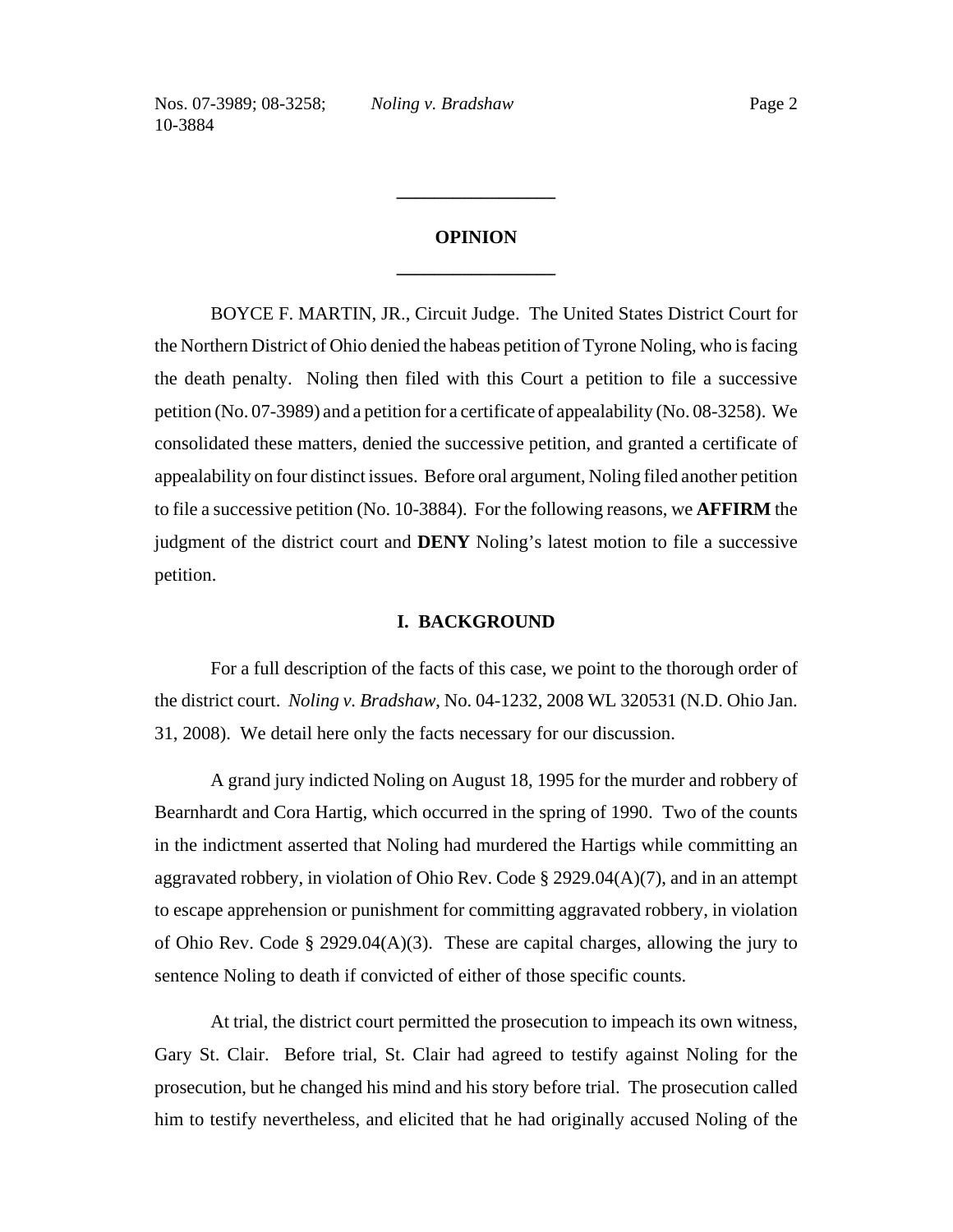# **OPINION \_\_\_\_\_\_\_\_\_\_\_\_\_\_\_\_\_**

**\_\_\_\_\_\_\_\_\_\_\_\_\_\_\_\_\_**

BOYCE F. MARTIN, JR., Circuit Judge. The United States District Court for the Northern District of Ohio denied the habeas petition of Tyrone Noling, who is facing the death penalty. Noling then filed with this Court a petition to file a successive petition (No. 07-3989) and a petition for a certificate of appealability (No. 08-3258). We consolidated these matters, denied the successive petition, and granted a certificate of appealability on four distinct issues. Before oral argument, Noling filed another petition to file a successive petition (No. 10-3884). For the following reasons, we **AFFIRM** the judgment of the district court and **DENY** Noling's latest motion to file a successive petition.

## **I. BACKGROUND**

For a full description of the facts of this case, we point to the thorough order of the district court. *Noling v. Bradshaw*, No. 04-1232, 2008 WL 320531 (N.D. Ohio Jan. 31, 2008). We detail here only the facts necessary for our discussion.

A grand jury indicted Noling on August 18, 1995 for the murder and robbery of Bearnhardt and Cora Hartig, which occurred in the spring of 1990. Two of the counts in the indictment asserted that Noling had murdered the Hartigs while committing an aggravated robbery, in violation of Ohio Rev. Code § 2929.04(A)(7), and in an attempt to escape apprehension or punishment for committing aggravated robbery, in violation of Ohio Rev. Code § 2929.04(A)(3). These are capital charges, allowing the jury to sentence Noling to death if convicted of either of those specific counts.

At trial, the district court permitted the prosecution to impeach its own witness, Gary St. Clair. Before trial, St. Clair had agreed to testify against Noling for the prosecution, but he changed his mind and his story before trial. The prosecution called him to testify nevertheless, and elicited that he had originally accused Noling of the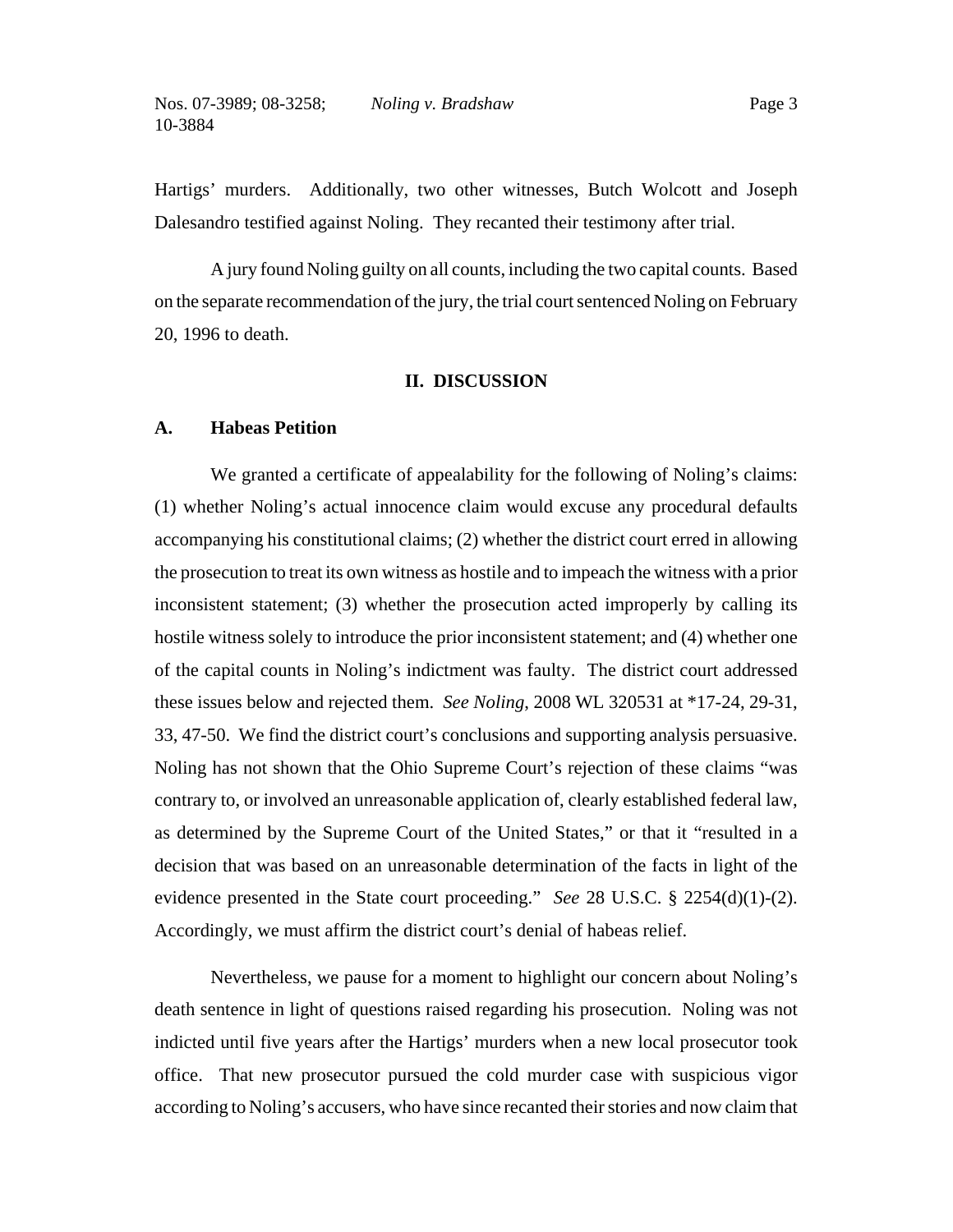Hartigs' murders. Additionally, two other witnesses, Butch Wolcott and Joseph Dalesandro testified against Noling. They recanted their testimony after trial.

A jury found Noling guilty on all counts, including the two capital counts. Based on the separate recommendation of the jury, the trial court sentenced Noling on February 20, 1996 to death.

#### **II. DISCUSSION**

#### **A. Habeas Petition**

We granted a certificate of appealability for the following of Noling's claims: (1) whether Noling's actual innocence claim would excuse any procedural defaults accompanying his constitutional claims; (2) whether the district court erred in allowing the prosecution to treat its own witness as hostile and to impeach the witness with a prior inconsistent statement; (3) whether the prosecution acted improperly by calling its hostile witness solely to introduce the prior inconsistent statement; and (4) whether one of the capital counts in Noling's indictment was faulty. The district court addressed these issues below and rejected them. *See Noling*, 2008 WL 320531 at \*17-24, 29-31, 33, 47-50. We find the district court's conclusions and supporting analysis persuasive. Noling has not shown that the Ohio Supreme Court's rejection of these claims "was contrary to, or involved an unreasonable application of, clearly established federal law, as determined by the Supreme Court of the United States," or that it "resulted in a decision that was based on an unreasonable determination of the facts in light of the evidence presented in the State court proceeding." *See* 28 U.S.C. § 2254(d)(1)-(2). Accordingly, we must affirm the district court's denial of habeas relief.

Nevertheless, we pause for a moment to highlight our concern about Noling's death sentence in light of questions raised regarding his prosecution. Noling was not indicted until five years after the Hartigs' murders when a new local prosecutor took office. That new prosecutor pursued the cold murder case with suspicious vigor according to Noling's accusers, who have since recanted their stories and now claim that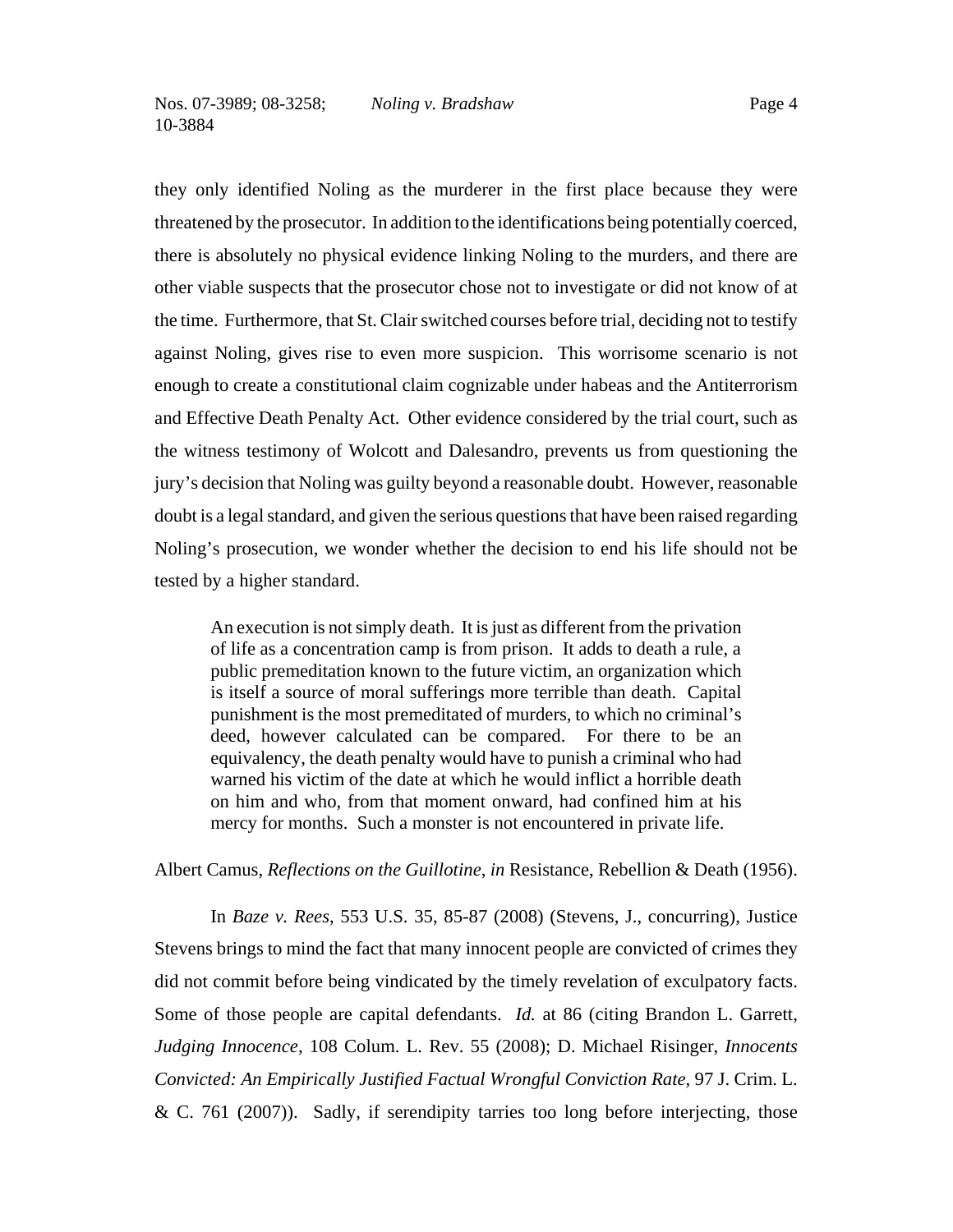they only identified Noling as the murderer in the first place because they were threatened by the prosecutor. In addition to the identifications being potentially coerced, there is absolutely no physical evidence linking Noling to the murders, and there are other viable suspects that the prosecutor chose not to investigate or did not know of at the time. Furthermore, that St. Clair switched courses before trial, deciding not to testify against Noling, gives rise to even more suspicion. This worrisome scenario is not enough to create a constitutional claim cognizable under habeas and the Antiterrorism and Effective Death Penalty Act. Other evidence considered by the trial court, such as the witness testimony of Wolcott and Dalesandro, prevents us from questioning the jury's decision that Noling was guilty beyond a reasonable doubt. However, reasonable doubt is a legal standard, and given the serious questions that have been raised regarding Noling's prosecution, we wonder whether the decision to end his life should not be tested by a higher standard.

An execution is not simply death. It is just as different from the privation of life as a concentration camp is from prison. It adds to death a rule, a public premeditation known to the future victim, an organization which is itself a source of moral sufferings more terrible than death. Capital punishment is the most premeditated of murders, to which no criminal's deed, however calculated can be compared. For there to be an equivalency, the death penalty would have to punish a criminal who had warned his victim of the date at which he would inflict a horrible death on him and who, from that moment onward, had confined him at his mercy for months. Such a monster is not encountered in private life.

Albert Camus, *Reflections on the Guillotine*, *in* Resistance, Rebellion & Death (1956).

In *Baze v. Rees*, 553 U.S. 35, 85-87 (2008) (Stevens, J., concurring), Justice Stevens brings to mind the fact that many innocent people are convicted of crimes they did not commit before being vindicated by the timely revelation of exculpatory facts. Some of those people are capital defendants. *Id.* at 86 (citing Brandon L. Garrett, *Judging Innocence*, 108 Colum. L. Rev. 55 (2008); D. Michael Risinger, *Innocents Convicted: An Empirically Justified Factual Wrongful Conviction Rate*, 97 J. Crim. L. & C. 761 (2007)). Sadly, if serendipity tarries too long before interjecting, those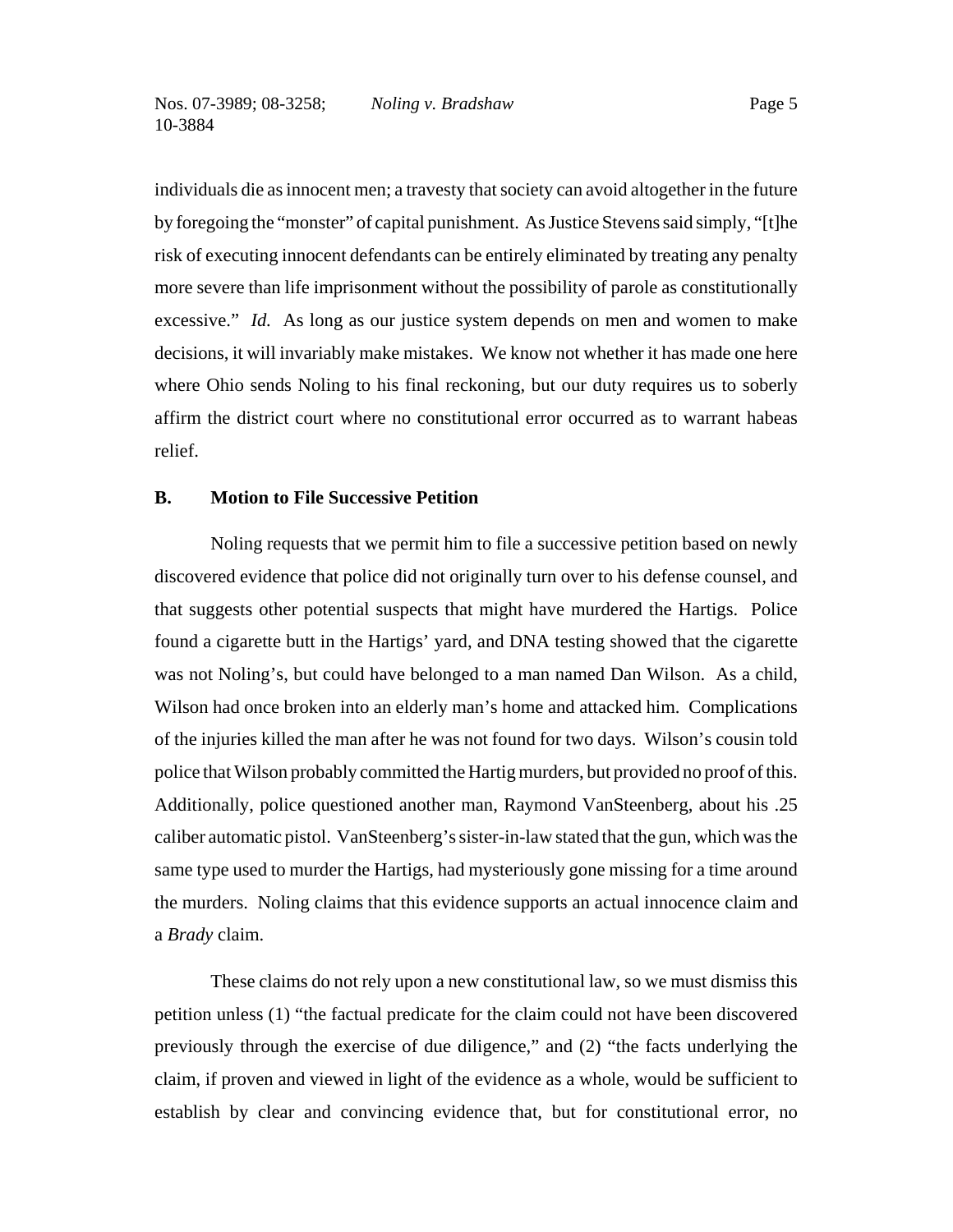individuals die as innocent men; a travesty that society can avoid altogether in the future by foregoing the "monster" of capital punishment. As Justice Stevens said simply, "[t]he risk of executing innocent defendants can be entirely eliminated by treating any penalty more severe than life imprisonment without the possibility of parole as constitutionally excessive." *Id.* As long as our justice system depends on men and women to make decisions, it will invariably make mistakes. We know not whether it has made one here where Ohio sends Noling to his final reckoning, but our duty requires us to soberly affirm the district court where no constitutional error occurred as to warrant habeas relief.

## **B. Motion to File Successive Petition**

Noling requests that we permit him to file a successive petition based on newly discovered evidence that police did not originally turn over to his defense counsel, and that suggests other potential suspects that might have murdered the Hartigs. Police found a cigarette butt in the Hartigs' yard, and DNA testing showed that the cigarette was not Noling's, but could have belonged to a man named Dan Wilson. As a child, Wilson had once broken into an elderly man's home and attacked him. Complications of the injuries killed the man after he was not found for two days. Wilson's cousin told police that Wilson probably committed the Hartig murders, but provided no proof of this. Additionally, police questioned another man, Raymond VanSteenberg, about his .25 caliber automatic pistol. VanSteenberg's sister-in-law stated that the gun, which was the same type used to murder the Hartigs, had mysteriously gone missing for a time around the murders. Noling claims that this evidence supports an actual innocence claim and a *Brady* claim.

These claims do not rely upon a new constitutional law, so we must dismiss this petition unless (1) "the factual predicate for the claim could not have been discovered previously through the exercise of due diligence," and (2) "the facts underlying the claim, if proven and viewed in light of the evidence as a whole, would be sufficient to establish by clear and convincing evidence that, but for constitutional error, no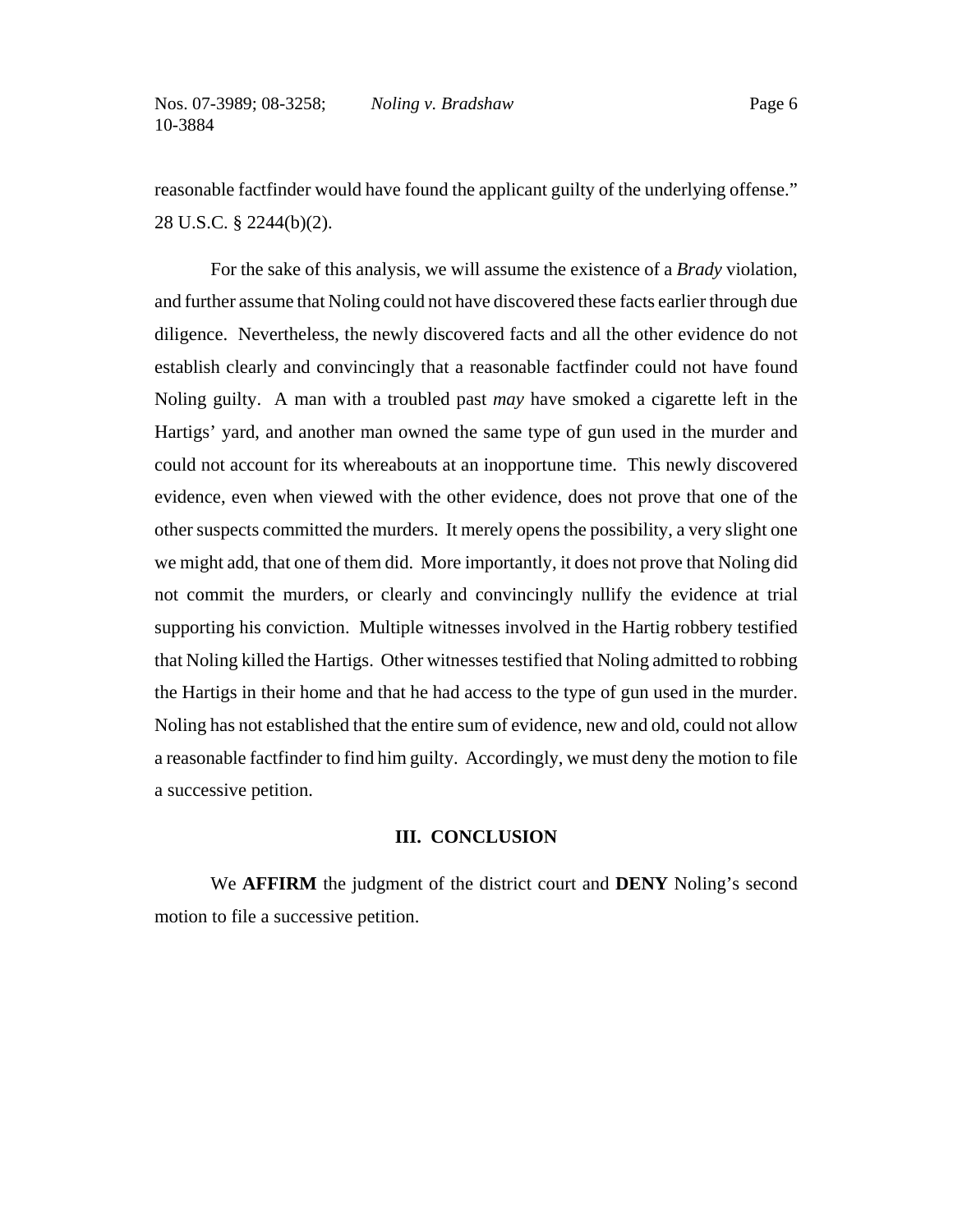reasonable factfinder would have found the applicant guilty of the underlying offense." 28 U.S.C. § 2244(b)(2).

For the sake of this analysis, we will assume the existence of a *Brady* violation, and further assume that Noling could not have discovered these facts earlier through due diligence. Nevertheless, the newly discovered facts and all the other evidence do not establish clearly and convincingly that a reasonable factfinder could not have found Noling guilty. A man with a troubled past *may* have smoked a cigarette left in the Hartigs' yard, and another man owned the same type of gun used in the murder and could not account for its whereabouts at an inopportune time. This newly discovered evidence, even when viewed with the other evidence, does not prove that one of the other suspects committed the murders. It merely opens the possibility, a very slight one we might add, that one of them did. More importantly, it does not prove that Noling did not commit the murders, or clearly and convincingly nullify the evidence at trial supporting his conviction. Multiple witnesses involved in the Hartig robbery testified that Noling killed the Hartigs. Other witnesses testified that Noling admitted to robbing the Hartigs in their home and that he had access to the type of gun used in the murder. Noling has not established that the entire sum of evidence, new and old, could not allow a reasonable factfinder to find him guilty. Accordingly, we must deny the motion to file a successive petition.

### **III. CONCLUSION**

We **AFFIRM** the judgment of the district court and **DENY** Noling's second motion to file a successive petition.